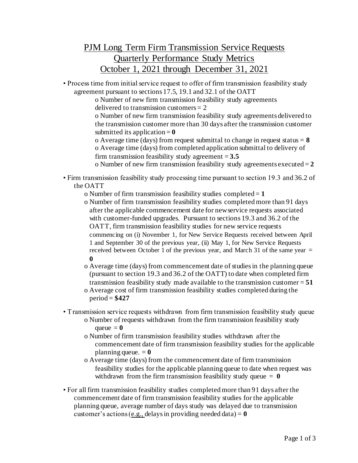## PJM Long Term Firm Transmission Service Requests Quarterly Performance Study Metrics October 1, 2021 through December 31, 2021

• Process time from initial service request to offer of firm transmission feasibility study agreement pursuant to sections 17.5, 19.1 and 32.1 of the OATT

o Number of new firm transmission feasibility study agreements delivered to transmission customers  $= 2$ 

o Number of new firm transmission feasibility study agreements delivered to the transmission customer more than 30 days after the transmission customer submitted its application  $= 0$ 

o Average time (days) from request submittal to change in request status = **8** o Average time (days) from completed application submittal to delivery of firm transmission feasibility study agreement  $= 3.5$ 

o Number of new firm transmission feasibility study agreements executed = **2**

• Firm transmission feasibility study processing time pursuant to section 19.3 and 36.2 of the OATT

o Number of firm transmission feasibility studies completed = **1**

- o Number of firm transmission feasibility studies completed more than 91 days after the applicable commencement date for new service requests associated with customer-funded upgrades. Pursuant to sections 19.3 and 36.2 of the OATT, firm transmission feasibility studies for new service requests commencing on (i) November 1, for New Service Requests received between April 1 and September 30 of the previous year, (ii) May 1, for New Service Requests received between October 1 of the previous year, and March 31 of the same year  $=$ **0**
- o Average time (days) from commencement date of studies in the planning queue (pursuant to section 19.3 and 36.2 of the OATT) to date when completed firm transmission feasibility study made available to the transmission customer = **51**

o Average cost of firm transmission feasibility studies completed during the period = **\$427**

- Transmission service requests withdrawn from firm transmission feasibility study queue
	- o Number of requests withdrawn from the firm transmission feasibility study queue  $= 0$
	- o Number of firm transmission feasibility studies withdrawn after the commencement date of firm transmission feasibility studies for the applicable planning queue.  $= 0$
	- o Average time (days) from the commencement date of firm transmission feasibility studies for the applicable planning queue to date when request was withdrawn from the firm transmission feasibility study queue  $= 0$
- For all firm transmission feasibility studies completed more than 91 days after the commencement date of firm transmission feasibility studies for the applicable planning queue, average number of days study was delayed due to transmission customer's actions (e.g., delays in providing needed data) =  $\bf{0}$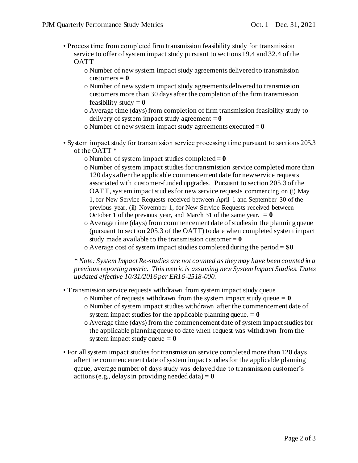- Process time from completed firm transmission feasibility study for transmission service to offer of system impact study pursuant to sections 19.4 and 32.4 of the **OATT** 
	- o Number of new system impact study agreements delivered to transmission customers  $= 0$
	- o Number of new system impact study agreements delivered to transmission customers more than 30 days after the completion of the firm transmission feasibility study  $= 0$
	- o Average time (days) from completion of firm transmission feasibility study to delivery of system impact study agreement  $= 0$
	- o Number of new system impact study agreements executed = **0**
- System impact study for transmission service processing time pursuant to sections 205.3 of the OATT \*
	- o Number of system impact studies completed = **0**
	- o Number of system impact studies for transmission service completed more than 120 days after the applicable commencement date for new service requests associated with customer-funded upgrades. Pursuant to section 205.3 of the OATT, system impact studies for new service requests commencing on (i) May 1, for New Service Requests received between April 1 and September 30 of the previous year, (ii) November 1, for New Service Requests received between October 1 of the previous year, and March 31 of the same year.  $= 0$
	- o Average time (days) from commencement date of studies in the planning queue (pursuant to section 205.3 of the OATT) to date when completed system impact study made available to the transmission customer  $= 0$
	- o Average cost of system impact studies completed during the period = **\$0**

*\* Note: System Impact Re-studies are not counted as they may have been counted in a previous reporting metric. This metric is assuming new System Impact Studies. Dates updated effective 10/31/2016 per ER16-2518-000.*

- Transmission service requests withdrawn from system impact study queue
	- o Number of requests withdrawn from the system impact study queue  $= 0$
	- o Number of system impact studies withdrawn after the commencement date of system impact studies for the applicable planning queue.  $= 0$
	- o Average time (days) from the commencement date of system impact studies for the applicable planning queue to date when request was withdrawn from the system impact study queue  $= 0$
- For all system impact studies for transmission service completed more than 120 days after the commencement date of system impact studies for the applicable planning queue, average number of days study was delayed due to transmission customer's actions (e.g., delays in providing needed data)  $= 0$